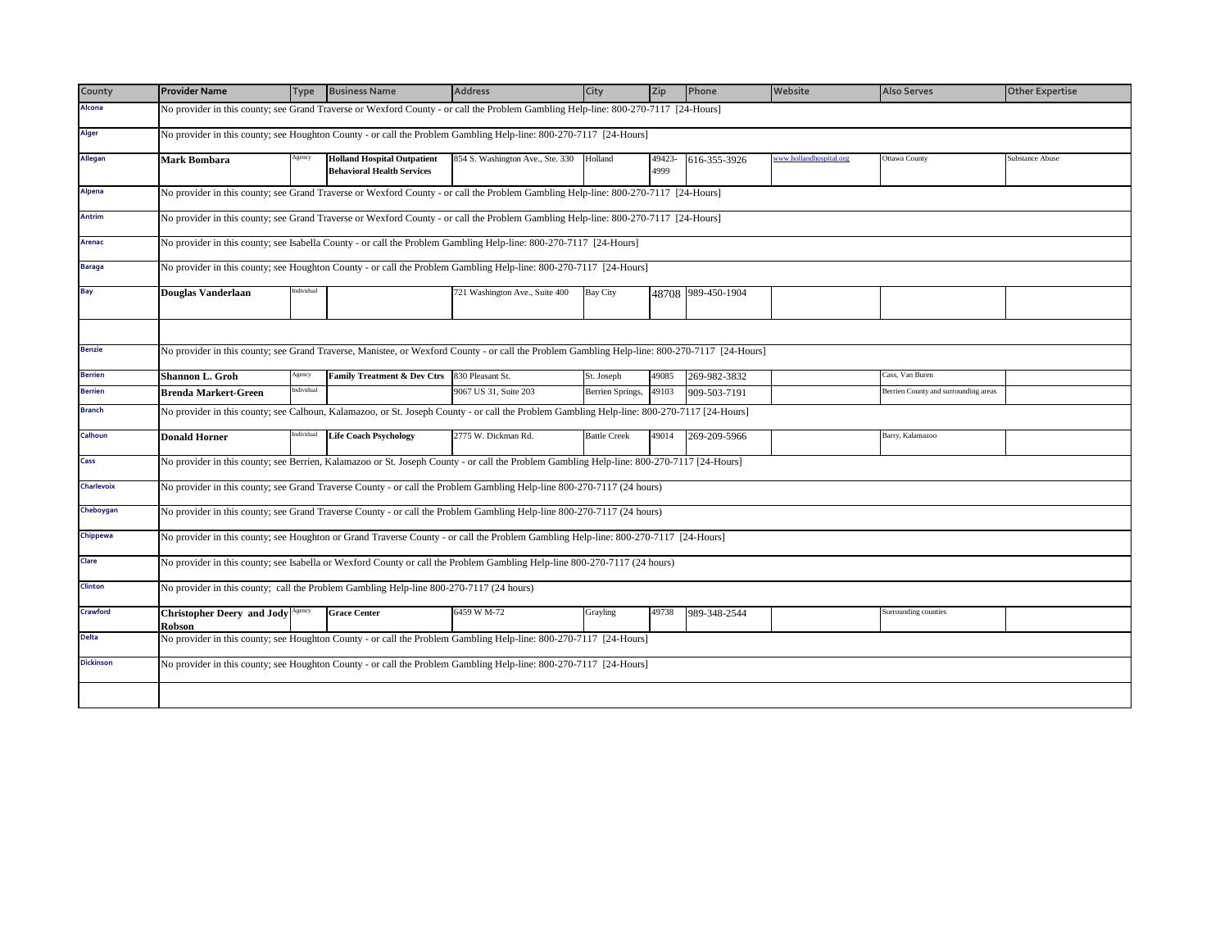| County           | <b>Provider Name</b>                                                                                                                          | <b>Type</b> | <b>Business Name</b>                                                    | <b>Address</b>                                                                                                                             | City                | Zip            | Phone              | Website                 | <b>Also Serves</b>                   | <b>Other Expertise</b> |  |
|------------------|-----------------------------------------------------------------------------------------------------------------------------------------------|-------------|-------------------------------------------------------------------------|--------------------------------------------------------------------------------------------------------------------------------------------|---------------------|----------------|--------------------|-------------------------|--------------------------------------|------------------------|--|
| Alcona           |                                                                                                                                               |             |                                                                         | No provider in this county; see Grand Traverse or Wexford County - or call the Problem Gambling Help-line: 800-270-7117 [24-Hours]         |                     |                |                    |                         |                                      |                        |  |
| <b>Alger</b>     | No provider in this county; see Houghton County - or call the Problem Gambling Help-line: 800-270-7117 [24-Hours]                             |             |                                                                         |                                                                                                                                            |                     |                |                    |                         |                                      |                        |  |
| Allegan          | Mark Bombara                                                                                                                                  | Agency      | <b>Holland Hospital Outpatient</b><br><b>Behavioral Health Services</b> | 854 S. Washington Ave., Ste. 330                                                                                                           | Holland             | 49423-<br>4999 | 616-355-3926       | www.hollandhospital.org | Ottawa County                        | <b>Substance Abuse</b> |  |
| Alpena           | No provider in this county; see Grand Traverse or Wexford County - or call the Problem Gambling Help-line: 800-270-7117 [24-Hours]            |             |                                                                         |                                                                                                                                            |                     |                |                    |                         |                                      |                        |  |
| <b>Antrim</b>    | No provider in this county; see Grand Traverse or Wexford County - or call the Problem Gambling Help-line: 800-270-7117 [24-Hours]            |             |                                                                         |                                                                                                                                            |                     |                |                    |                         |                                      |                        |  |
| <b>Arenac</b>    | No provider in this county; see Isabella County - or call the Problem Gambling Help-line: 800-270-7117 [24-Hours]                             |             |                                                                         |                                                                                                                                            |                     |                |                    |                         |                                      |                        |  |
| <b>Baraga</b>    | No provider in this county; see Houghton County - or call the Problem Gambling Help-line: 800-270-7117 [24-Hours]                             |             |                                                                         |                                                                                                                                            |                     |                |                    |                         |                                      |                        |  |
| Bay              | <b>Douglas Vanderlaan</b>                                                                                                                     | ndividual   |                                                                         | 721 Washington Ave., Suite 400                                                                                                             | Bay City            |                | 48708 989-450-1904 |                         |                                      |                        |  |
|                  |                                                                                                                                               |             |                                                                         |                                                                                                                                            |                     |                |                    |                         |                                      |                        |  |
| <b>Benzie</b>    | No provider in this county; see Grand Traverse, Manistee, or Wexford County - or call the Problem Gambling Help-line: 800-270-7117 [24-Hours] |             |                                                                         |                                                                                                                                            |                     |                |                    |                         |                                      |                        |  |
| <b>Berrien</b>   | <b>Shannon L. Groh</b>                                                                                                                        | Agency      | <b>Family Treatment &amp; Dev Ctrs</b>                                  | 830 Pleasant St.                                                                                                                           | St. Joseph          | 49085          | 269-982-3832       |                         | Cass, Van Buren                      |                        |  |
| <b>Berrien</b>   | <b>Brenda Markert-Green</b>                                                                                                                   | ndividual   |                                                                         | 9067 US 31, Suite 203                                                                                                                      | Berrien Springs,    | 49103          | 909-503-7191       |                         | Berrien County and surrounding areas |                        |  |
| <b>Branch</b>    |                                                                                                                                               |             |                                                                         | No provider in this county; see Calhoun, Kalamazoo, or St. Joseph County - or call the Problem Gambling Help-line: 800-270-7117 [24-Hours] |                     |                |                    |                         |                                      |                        |  |
| Calhoun          | <b>Donald Horner</b>                                                                                                                          | ndividual   | <b>Life Coach Psychology</b>                                            | 2775 W. Dickman Rd.                                                                                                                        | <b>Battle Creek</b> | 49014          | 269-209-5966       |                         | Barry, Kalamazoo                     |                        |  |
| Cass             |                                                                                                                                               |             |                                                                         | No provider in this county; see Berrien, Kalamazoo or St. Joseph County - or call the Problem Gambling Help-line: 800-270-7117 [24-Hours]  |                     |                |                    |                         |                                      |                        |  |
| Charlevoix       |                                                                                                                                               |             |                                                                         | No provider in this county; see Grand Traverse County - or call the Problem Gambling Help-line 800-270-7117 (24 hours)                     |                     |                |                    |                         |                                      |                        |  |
| Cheboygan        |                                                                                                                                               |             |                                                                         | No provider in this county; see Grand Traverse County - or call the Problem Gambling Help-line 800-270-7117 (24 hours)                     |                     |                |                    |                         |                                      |                        |  |
| Chippewa         |                                                                                                                                               |             |                                                                         | No provider in this county; see Houghton or Grand Traverse County - or call the Problem Gambling Help-line: 800-270-7117 [24-Hours]        |                     |                |                    |                         |                                      |                        |  |
| Clare            | No provider in this county; see Isabella or Wexford County or call the Problem Gambling Help-line 800-270-7117 (24 hours)                     |             |                                                                         |                                                                                                                                            |                     |                |                    |                         |                                      |                        |  |
| <b>Clinton</b>   | No provider in this county; call the Problem Gambling Help-line 800-270-7117 (24 hours)                                                       |             |                                                                         |                                                                                                                                            |                     |                |                    |                         |                                      |                        |  |
| Crawford         | <b>Christopher Deery and Jody</b> Agency<br>Robson                                                                                            |             | <b>Grace Center</b>                                                     | 6459 W M-72                                                                                                                                | Grayling            | 49738          | 989-348-2544       |                         | Surrounding counties                 |                        |  |
| <b>Delta</b>     |                                                                                                                                               |             |                                                                         | No provider in this county; see Houghton County - or call the Problem Gambling Help-line: 800-270-7117 [24-Hours]                          |                     |                |                    |                         |                                      |                        |  |
| <b>Dickinson</b> |                                                                                                                                               |             |                                                                         | No provider in this county; see Houghton County - or call the Problem Gambling Help-line: 800-270-7117 [24-Hours]                          |                     |                |                    |                         |                                      |                        |  |
|                  |                                                                                                                                               |             |                                                                         |                                                                                                                                            |                     |                |                    |                         |                                      |                        |  |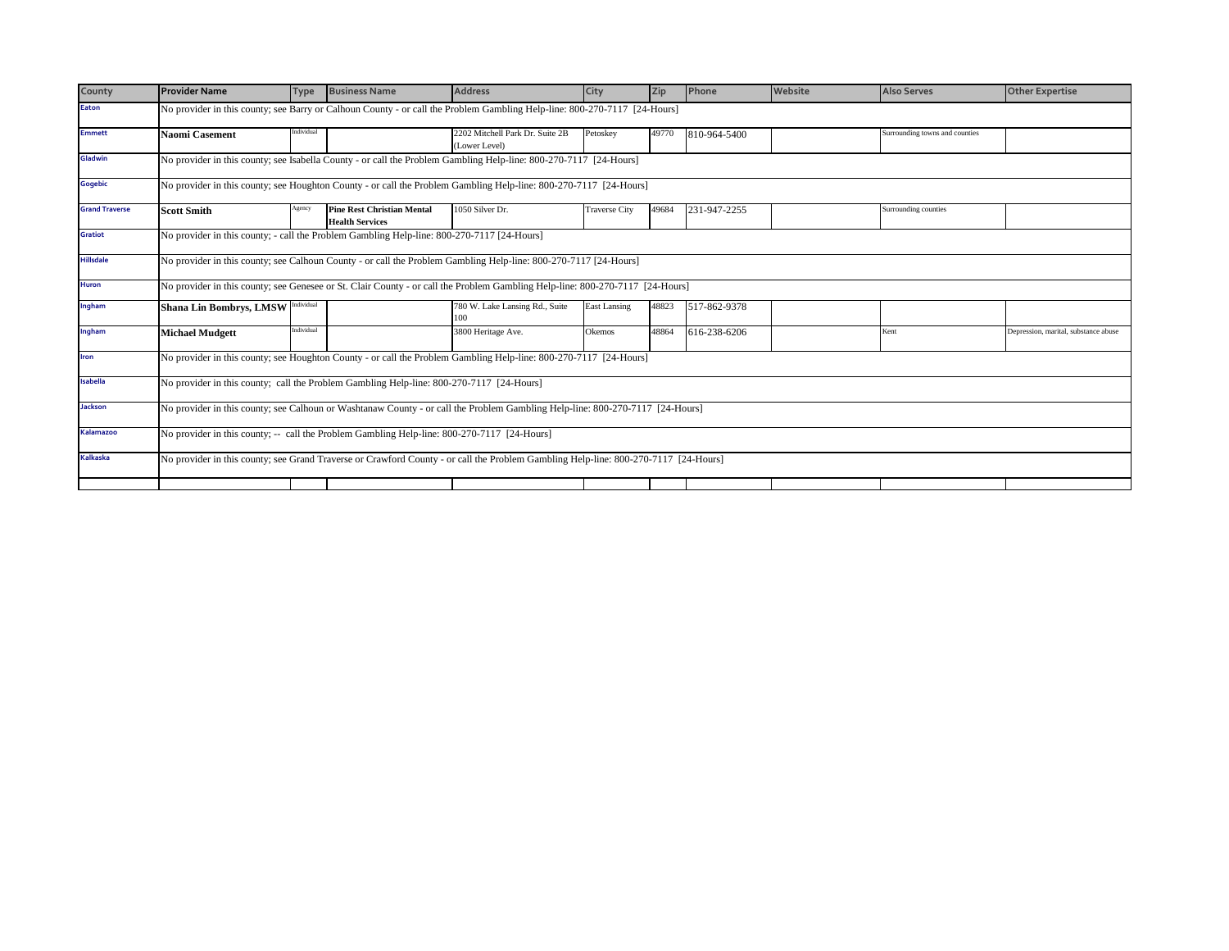| County                | <b>Provider Name</b>                                                                                                      | <b>Type</b> | <b>Business Name</b>                                        | <b>Address</b>                                                                                                                      | City                 | Zip   | Phone        | Website | <b>Also Serves</b>             | <b>Other Expertise</b>               |
|-----------------------|---------------------------------------------------------------------------------------------------------------------------|-------------|-------------------------------------------------------------|-------------------------------------------------------------------------------------------------------------------------------------|----------------------|-------|--------------|---------|--------------------------------|--------------------------------------|
| <b>Eaton</b>          | No provider in this county; see Barry or Calhoun County - or call the Problem Gambling Help-line: 800-270-7117 [24-Hours] |             |                                                             |                                                                                                                                     |                      |       |              |         |                                |                                      |
| <b>Emmett</b>         | Naomi Casement                                                                                                            | Individual  |                                                             | 2202 Mitchell Park Dr. Suite 2B<br>(Lower Level)                                                                                    | Petoskey             | 49770 | 810-964-5400 |         | Surrounding towns and counties |                                      |
| Gladwin               | No provider in this county; see Isabella County - or call the Problem Gambling Help-line: 800-270-7117 [24-Hours]         |             |                                                             |                                                                                                                                     |                      |       |              |         |                                |                                      |
| Gogebic               | No provider in this county; see Houghton County - or call the Problem Gambling Help-line: 800-270-7117 [24-Hours]         |             |                                                             |                                                                                                                                     |                      |       |              |         |                                |                                      |
| <b>Grand Traverse</b> | <b>Scott Smith</b>                                                                                                        | Agency      | <b>Pine Rest Christian Mental</b><br><b>Health Services</b> | 1050 Silver Dr.                                                                                                                     | <b>Traverse City</b> | 49684 | 231-947-2255 |         | Surrounding counties           |                                      |
| Gratiot               | No provider in this county; - call the Problem Gambling Help-line: 800-270-7117 [24-Hours]                                |             |                                                             |                                                                                                                                     |                      |       |              |         |                                |                                      |
| <b>Hillsdale</b>      | No provider in this county; see Calhoun County - or call the Problem Gambling Help-line: 800-270-7117 [24-Hours]          |             |                                                             |                                                                                                                                     |                      |       |              |         |                                |                                      |
| <b>Huron</b>          |                                                                                                                           |             |                                                             | No provider in this county; see Genesee or St. Clair County - or call the Problem Gambling Help-line: 800-270-7117 [24-Hours]       |                      |       |              |         |                                |                                      |
| Ingham                | Shana Lin Bombrys, LMSW Individual                                                                                        |             |                                                             | 780 W. Lake Lansing Rd., Suite<br>100                                                                                               | <b>East Lansing</b>  | 48823 | 517-862-9378 |         |                                |                                      |
| Ingham                | Michael Mudgett                                                                                                           | Individual  |                                                             | 3800 Heritage Ave.                                                                                                                  | Okemos               | 48864 | 616-238-6206 |         | Kent                           | Depression, marital, substance abuse |
| Iron                  |                                                                                                                           |             |                                                             | No provider in this county; see Houghton County - or call the Problem Gambling Help-line: 800-270-7117 [24-Hours]                   |                      |       |              |         |                                |                                      |
| Isabella              | No provider in this county; call the Problem Gambling Help-line: 800-270-7117 [24-Hours]                                  |             |                                                             |                                                                                                                                     |                      |       |              |         |                                |                                      |
| Jackson               |                                                                                                                           |             |                                                             | No provider in this county; see Calhoun or Washtanaw County - or call the Problem Gambling Help-line: 800-270-7117 [24-Hours]       |                      |       |              |         |                                |                                      |
| Kalamazoo             | No provider in this county; -- call the Problem Gambling Help-line: 800-270-7117 [24-Hours]                               |             |                                                             |                                                                                                                                     |                      |       |              |         |                                |                                      |
| Kalkaska              |                                                                                                                           |             |                                                             | No provider in this county; see Grand Traverse or Crawford County - or call the Problem Gambling Help-line: 800-270-7117 [24-Hours] |                      |       |              |         |                                |                                      |
|                       |                                                                                                                           |             |                                                             |                                                                                                                                     |                      |       |              |         |                                |                                      |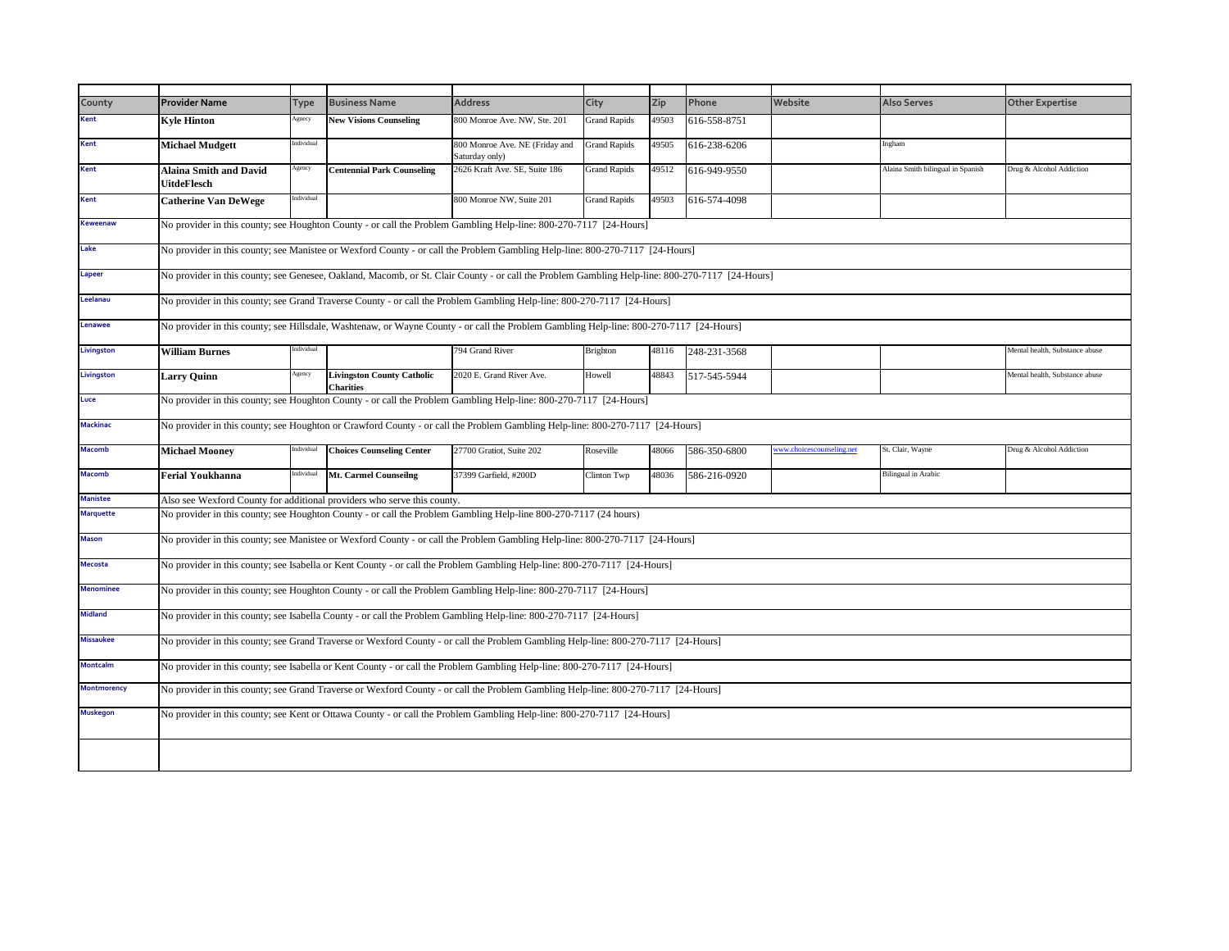| County             | <b>Provider Name</b>                                                                                                                            | Type       | <b>Business Name</b>                                  | <b>Address</b>                                                                                                                     | City                | Zip   | Phone        | Website                   | <b>Also Serves</b>                | <b>Other Expertise</b>         |  |
|--------------------|-------------------------------------------------------------------------------------------------------------------------------------------------|------------|-------------------------------------------------------|------------------------------------------------------------------------------------------------------------------------------------|---------------------|-------|--------------|---------------------------|-----------------------------------|--------------------------------|--|
| <b>Kent</b>        | <b>Kyle Hinton</b>                                                                                                                              | Agnecy     | <b>New Visions Counseling</b>                         | 800 Monroe Ave. NW, Ste. 201                                                                                                       | <b>Grand Rapids</b> | 49503 | 616-558-8751 |                           |                                   |                                |  |
| Kent               | <b>Michael Mudgett</b>                                                                                                                          | Individual |                                                       | 800 Monroe Ave. NE (Friday and<br>Saturday only)                                                                                   | <b>Grand Rapids</b> | 49505 | 616-238-6206 |                           | Ingham                            |                                |  |
| Kent               | <b>Alaina Smith and David</b><br>UitdeFlesch                                                                                                    | Agency     | <b>Centennial Park Counseling</b>                     | 2626 Kraft Ave. SE, Suite 186                                                                                                      | <b>Grand Rapids</b> | 49512 | 616-949-9550 |                           | Alaina Smith bilingual in Spanish | Drug & Alcohol Addiction       |  |
| Kent               | <b>Catherine Van DeWege</b>                                                                                                                     | ndividual  |                                                       | 800 Monroe NW, Suite 201                                                                                                           | <b>Grand Rapids</b> | 49503 | 616-574-4098 |                           |                                   |                                |  |
| <b>Keweenaw</b>    | No provider in this county; see Houghton County - or call the Problem Gambling Help-line: 800-270-7117 [24-Hours]                               |            |                                                       |                                                                                                                                    |                     |       |              |                           |                                   |                                |  |
| Lake               | No provider in this county; see Manistee or Wexford County - or call the Problem Gambling Help-line: 800-270-7117 [24-Hours]                    |            |                                                       |                                                                                                                                    |                     |       |              |                           |                                   |                                |  |
| Lapeer             | No provider in this county; see Genesee, Oakland, Macomb, or St. Clair County - or call the Problem Gambling Help-line: 800-270-7117 [24-Hours] |            |                                                       |                                                                                                                                    |                     |       |              |                           |                                   |                                |  |
| Leelanau           | No provider in this county; see Grand Traverse County - or call the Problem Gambling Help-line: 800-270-7117 [24-Hours]                         |            |                                                       |                                                                                                                                    |                     |       |              |                           |                                   |                                |  |
| Lenawee            | No provider in this county; see Hillsdale, Washtenaw, or Wayne County - or call the Problem Gambling Help-line: 800-270-7117 [24-Hours]         |            |                                                       |                                                                                                                                    |                     |       |              |                           |                                   |                                |  |
| Livingston         | <b>William Burnes</b>                                                                                                                           | Individual |                                                       | 794 Grand River                                                                                                                    | <b>Brighton</b>     | 48116 | 248-231-3568 |                           |                                   | Mental health, Substance abuse |  |
| Livingston         | <b>Larry Quinn</b>                                                                                                                              | Agency     | <b>Livingston County Catholic</b><br><b>Charities</b> | 2020 E. Grand River Ave.                                                                                                           | Howell              | 48843 | 517-545-5944 |                           |                                   | Mental health, Substance abuse |  |
| Luce               | No provider in this county; see Houghton County - or call the Problem Gambling Help-line: 800-270-7117 [24-Hours]                               |            |                                                       |                                                                                                                                    |                     |       |              |                           |                                   |                                |  |
| <b>Mackinac</b>    |                                                                                                                                                 |            |                                                       | No provider in this county; see Houghton or Crawford County - or call the Problem Gambling Help-line: 800-270-7117 [24-Hours]      |                     |       |              |                           |                                   |                                |  |
| <b>Macomb</b>      | <b>Michael Mooney</b>                                                                                                                           | Individual | <b>Choices Counseling Center</b>                      | 27700 Gratiot, Suite 202                                                                                                           | Roseville           | 48066 | 586-350-6800 | www.choicescounseling.net | St. Clair, Wayne                  | Drug & Alcohol Addiction       |  |
| <b>Macomb</b>      | <b>Ferial Youkhanna</b>                                                                                                                         | Individual | Mt. Carmel Counseilng                                 | 37399 Garfield, #200D                                                                                                              | Clinton Twp         | 48036 | 586-216-0920 |                           | <b>Bilingual</b> in Arabic        |                                |  |
| <b>Manistee</b>    | Also see Wexford County for additional providers who serve this county.                                                                         |            |                                                       |                                                                                                                                    |                     |       |              |                           |                                   |                                |  |
| <b>Marquette</b>   |                                                                                                                                                 |            |                                                       | No provider in this county; see Houghton County - or call the Problem Gambling Help-line 800-270-7117 (24 hours)                   |                     |       |              |                           |                                   |                                |  |
| <b>Mason</b>       |                                                                                                                                                 |            |                                                       | No provider in this county; see Manistee or Wexford County - or call the Problem Gambling Help-line: 800-270-7117 [24-Hours]       |                     |       |              |                           |                                   |                                |  |
| <b>Mecosta</b>     |                                                                                                                                                 |            |                                                       | No provider in this county; see Isabella or Kent County - or call the Problem Gambling Help-line: 800-270-7117 [24-Hours]          |                     |       |              |                           |                                   |                                |  |
| <b>Menominee</b>   |                                                                                                                                                 |            |                                                       | No provider in this county; see Houghton County - or call the Problem Gambling Help-line: 800-270-7117 [24-Hours]                  |                     |       |              |                           |                                   |                                |  |
| <b>Midland</b>     |                                                                                                                                                 |            |                                                       | No provider in this county; see Isabella County - or call the Problem Gambling Help-line: 800-270-7117 [24-Hours]                  |                     |       |              |                           |                                   |                                |  |
| <b>Missaukee</b>   |                                                                                                                                                 |            |                                                       | No provider in this county; see Grand Traverse or Wexford County - or call the Problem Gambling Help-line: 800-270-7117 [24-Hours] |                     |       |              |                           |                                   |                                |  |
| <b>Montcalm</b>    |                                                                                                                                                 |            |                                                       | No provider in this county; see Isabella or Kent County - or call the Problem Gambling Help-line: 800-270-7117 [24-Hours]          |                     |       |              |                           |                                   |                                |  |
| <b>Montmorency</b> |                                                                                                                                                 |            |                                                       | No provider in this county; see Grand Traverse or Wexford County - or call the Problem Gambling Help-line: 800-270-7117 [24-Hours] |                     |       |              |                           |                                   |                                |  |
| <b>Muskegon</b>    |                                                                                                                                                 |            |                                                       | No provider in this county; see Kent or Ottawa County - or call the Problem Gambling Help-line: 800-270-7117 [24-Hours]            |                     |       |              |                           |                                   |                                |  |
|                    |                                                                                                                                                 |            |                                                       |                                                                                                                                    |                     |       |              |                           |                                   |                                |  |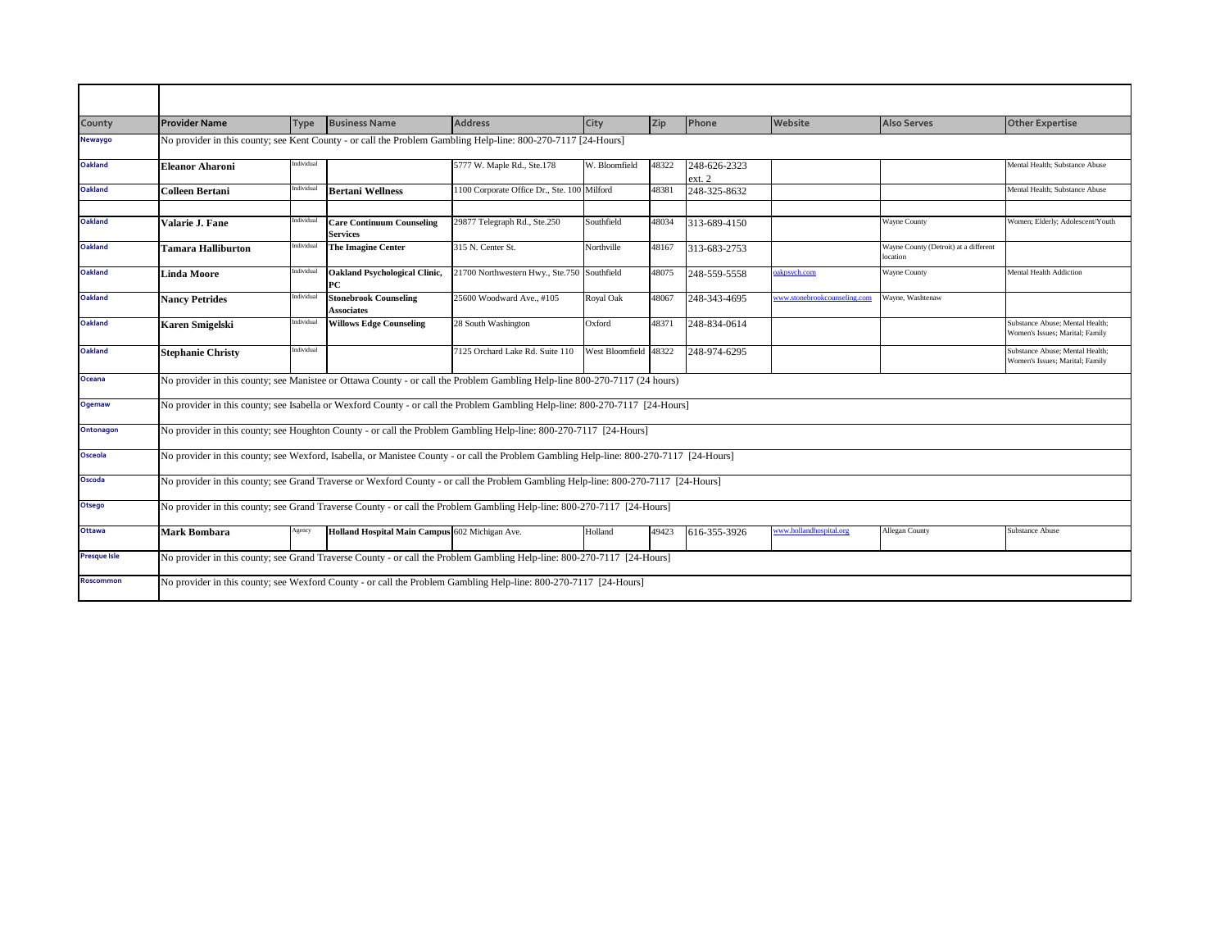| County              | <b>Provider Name</b>                                                                                          | <b>Type</b>                                                                                                      | <b>Business Name</b>                              | <b>Address</b>                                                                                                                          | City                  | Zip   | Phone                  | Website                      | <b>Also Serves</b>                               | <b>Other Expertise</b>                                             |  |
|---------------------|---------------------------------------------------------------------------------------------------------------|------------------------------------------------------------------------------------------------------------------|---------------------------------------------------|-----------------------------------------------------------------------------------------------------------------------------------------|-----------------------|-------|------------------------|------------------------------|--------------------------------------------------|--------------------------------------------------------------------|--|
| Newaygo             | No provider in this county; see Kent County - or call the Problem Gambling Help-line: 800-270-7117 [24-Hours] |                                                                                                                  |                                                   |                                                                                                                                         |                       |       |                        |                              |                                                  |                                                                    |  |
| <b>Oakland</b>      | <b>Eleanor Aharoni</b>                                                                                        | Individual                                                                                                       |                                                   | 5777 W. Maple Rd., Ste.178                                                                                                              | W. Bloomfield         | 48322 | 248-626-2323<br>ext. 2 |                              |                                                  | Mental Health; Substance Abuse                                     |  |
| <b>Oakland</b>      | Colleen Bertani                                                                                               | Individual                                                                                                       | <b>Bertani Wellness</b>                           | 1100 Corporate Office Dr., Ste. 100 Milford                                                                                             |                       | 48381 | 248-325-8632           |                              |                                                  | Mental Health; Substance Abuse                                     |  |
|                     |                                                                                                               |                                                                                                                  |                                                   |                                                                                                                                         |                       |       |                        |                              |                                                  |                                                                    |  |
| <b>Oakland</b>      | Valarie J. Fane                                                                                               | Individual                                                                                                       | <b>Care Continuum Counseling</b><br>Services      | 29877 Telegraph Rd., Ste.250                                                                                                            | Southfield            | 48034 | 313-689-4150           |                              | <b>Wayne County</b>                              | Women; Elderly; Adolescent/Youth                                   |  |
| <b>Oakland</b>      | <b>Tamara Halliburton</b>                                                                                     | ndividual                                                                                                        | <b>The Imagine Center</b>                         | 315 N. Center St.                                                                                                                       | Northville            | 48167 | 313-683-2753           |                              | Wayne County (Detroit) at a different<br>ocation |                                                                    |  |
| <b>Oakland</b>      | <b>Linda Moore</b>                                                                                            | Individual                                                                                                       | <b>Oakland Psychological Clinic,</b><br>РC        | 21700 Northwestern Hwy., Ste.750 Southfield                                                                                             |                       | 48075 | 248-559-5558           | akpsych.com                  | Wayne County                                     | <b>Mental Health Addiction</b>                                     |  |
| Oakland             | <b>Nancy Petrides</b>                                                                                         | Individual                                                                                                       | <b>Stonebrook Counseling</b><br><b>Associates</b> | 25600 Woodward Ave., #105                                                                                                               | Royal Oak             | 48067 | 248-343-4695           | www.stonebrookcounseling.com | Wayne, Washtenaw                                 |                                                                    |  |
| <b>Oakland</b>      | <b>Karen Smigelski</b>                                                                                        | Individual                                                                                                       | <b>Willows Edge Counseling</b>                    | 28 South Washington                                                                                                                     | Oxford                | 48371 | 248-834-0614           |                              |                                                  | Substance Abuse: Mental Health:<br>Women's Issues; Marital; Family |  |
| <b>Oakland</b>      | <b>Stephanie Christy</b>                                                                                      | Individual                                                                                                       |                                                   | 7125 Orchard Lake Rd. Suite 110                                                                                                         | West Bloomfield 48322 |       | 248-974-6295           |                              |                                                  | Substance Abuse; Mental Health;<br>Women's Issues; Marital; Family |  |
| Oceana              |                                                                                                               |                                                                                                                  |                                                   | No provider in this county; see Manistee or Ottawa County - or call the Problem Gambling Help-line 800-270-7117 (24 hours)              |                       |       |                        |                              |                                                  |                                                                    |  |
| <b>Ogemaw</b>       |                                                                                                               |                                                                                                                  |                                                   | No provider in this county; see Isabella or Wexford County - or call the Problem Gambling Help-line: 800-270-7117 [24-Hours]            |                       |       |                        |                              |                                                  |                                                                    |  |
| Ontonagon           |                                                                                                               |                                                                                                                  |                                                   | No provider in this county; see Houghton County - or call the Problem Gambling Help-line: 800-270-7117 [24-Hours]                       |                       |       |                        |                              |                                                  |                                                                    |  |
| Osceola             |                                                                                                               |                                                                                                                  |                                                   | No provider in this county; see Wexford, Isabella, or Manistee County - or call the Problem Gambling Help-line: 800-270-7117 [24-Hours] |                       |       |                        |                              |                                                  |                                                                    |  |
| Oscoda              |                                                                                                               |                                                                                                                  |                                                   | No provider in this county; see Grand Traverse or Wexford County - or call the Problem Gambling Help-line: 800-270-7117 [24-Hours]      |                       |       |                        |                              |                                                  |                                                                    |  |
| Otsego              |                                                                                                               |                                                                                                                  |                                                   | No provider in this county; see Grand Traverse County - or call the Problem Gambling Help-line: 800-270-7117 [24-Hours]                 |                       |       |                        |                              |                                                  |                                                                    |  |
| <b>Ottawa</b>       | <b>Mark Bombara</b>                                                                                           | Agency                                                                                                           | Holland Hospital Main Campus 602 Michigan Ave.    |                                                                                                                                         | Holland               | 49423 | 616-355-3926           | ww.hollandhospital.org       | Allegan County                                   | <b>Substance Abuse</b>                                             |  |
| <b>Presque Isle</b> |                                                                                                               |                                                                                                                  |                                                   | No provider in this county; see Grand Traverse County - or call the Problem Gambling Help-line: 800-270-7117 [24-Hours]                 |                       |       |                        |                              |                                                  |                                                                    |  |
| <b>Roscommon</b>    |                                                                                                               | No provider in this county; see Wexford County - or call the Problem Gambling Help-line: 800-270-7117 [24-Hours] |                                                   |                                                                                                                                         |                       |       |                        |                              |                                                  |                                                                    |  |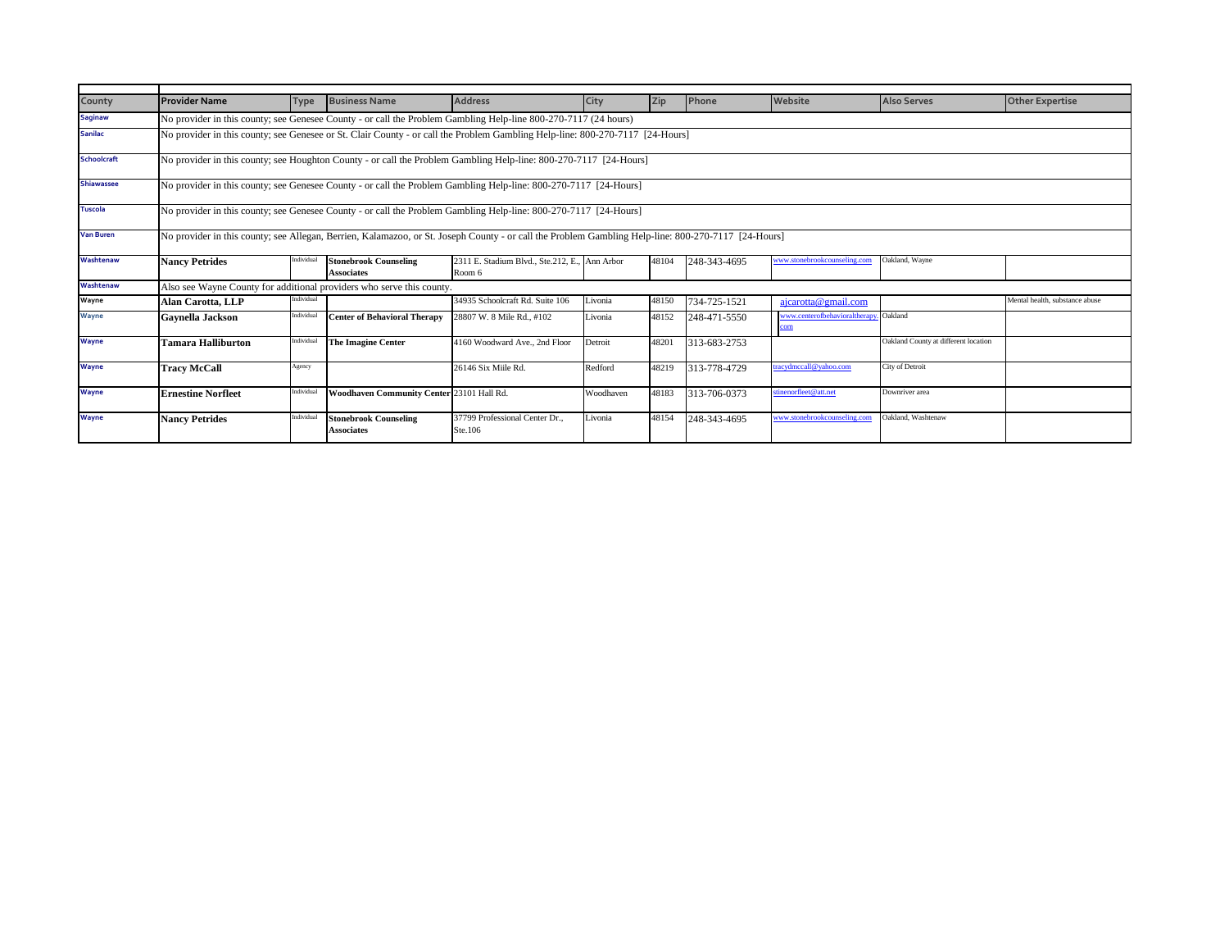| County            | <b>Provider Name</b>                                                                                                                                | Type       | <b>Business Name</b>                              | <b>Address</b>                                          | City      | <b>Zip</b> | Phone        | Website                            | <b>Also Serves</b>                   | <b>Other Expertise</b>         |
|-------------------|-----------------------------------------------------------------------------------------------------------------------------------------------------|------------|---------------------------------------------------|---------------------------------------------------------|-----------|------------|--------------|------------------------------------|--------------------------------------|--------------------------------|
| <b>Saginaw</b>    | No provider in this county; see Genesee County - or call the Problem Gambling Help-line 800-270-7117 (24 hours)                                     |            |                                                   |                                                         |           |            |              |                                    |                                      |                                |
| <b>Sanilac</b>    | No provider in this county; see Genesee or St. Clair County - or call the Problem Gambling Help-line: 800-270-7117 [24-Hours]                       |            |                                                   |                                                         |           |            |              |                                    |                                      |                                |
| Schoolcraft       | No provider in this county; see Houghton County - or call the Problem Gambling Help-line: 800-270-7117 [24-Hours]                                   |            |                                                   |                                                         |           |            |              |                                    |                                      |                                |
| <b>Shiawassee</b> | No provider in this county; see Genesee County - or call the Problem Gambling Help-line: 800-270-7117 [24-Hours]                                    |            |                                                   |                                                         |           |            |              |                                    |                                      |                                |
| <b>Tuscola</b>    | No provider in this county; see Genesee County - or call the Problem Gambling Help-line: 800-270-7117 [24-Hours]                                    |            |                                                   |                                                         |           |            |              |                                    |                                      |                                |
| <b>Van Buren</b>  | No provider in this county; see Allegan, Berrien, Kalamazoo, or St. Joseph County - or call the Problem Gambling Help-line: 800-270-7117 [24-Hours] |            |                                                   |                                                         |           |            |              |                                    |                                      |                                |
| Washtenaw         | <b>Nancy Petrides</b>                                                                                                                               | Individual | <b>Stonebrook Counseling</b><br><b>Associates</b> | 2311 E. Stadium Blvd., Ste.212, E., Ann Arbor<br>Room 6 |           | 48104      | 248-343-4695 | www.stonebrookcounseling.com       | Oakland, Wavne                       |                                |
| Washtenaw         | Also see Wayne County for additional providers who serve this county.                                                                               |            |                                                   |                                                         |           |            |              |                                    |                                      |                                |
| Wayne             | <b>Alan Carotta, LLP</b>                                                                                                                            | Individual |                                                   | 34935 Schoolcraft Rd. Suite 106                         | Livonia   | 48150      | 734-725-1521 | ajcarotta@gmail.com                |                                      | Mental health, substance abuse |
| <b>Wayne</b>      | Gavnella Jackson                                                                                                                                    | Individual | <b>Center of Behavioral Therapy</b>               | 28807 W. 8 Mile Rd., #102                               | Livonia   | 48152      | 248-471-5550 | www.centerofbehavioralthera<br>com | Oakland                              |                                |
| <b>Wayne</b>      | Tamara Halliburton                                                                                                                                  | Individual | <b>The Imagine Center</b>                         | 4160 Woodward Ave., 2nd Floor                           | Detroit   | 48201      | 313-683-2753 |                                    | Oakland County at different location |                                |
| <b>Wayne</b>      | <b>Tracy McCall</b>                                                                                                                                 | Agency     |                                                   | 26146 Six Miile Rd.                                     | Redford   | 48219      | 313-778-4729 | racydmccall@yahoo.com              | City of Detroit                      |                                |
| <b>Wayne</b>      | <b>Ernestine Norfleet</b>                                                                                                                           | Individual | Woodhaven Community Center 23101 Hall Rd.         |                                                         | Woodhaven | 48183      | 313-706-0373 | stinenorfleet@att.net              | Downriver area                       |                                |
| <b>Wayne</b>      | <b>Nancy Petrides</b>                                                                                                                               | Individual | <b>Stonebrook Counseling</b><br><b>Associates</b> | 37799 Professional Center Dr.,<br>Ste.106               | Livonia   | 48154      | 248-343-4695 | www.stonebrookcounseling.con       | Oakland, Washtenaw                   |                                |